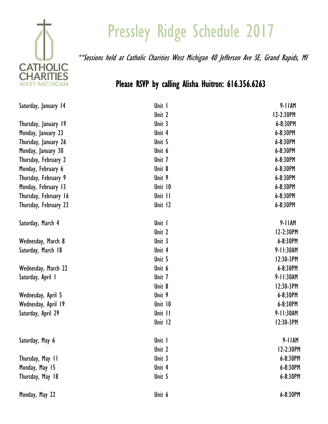

## Pressley Ridge Schedule 2017

\*\*Sessions held at Catholic Charities West Michigan 40 Jefferson Ave SE, Grand Rapids, MI

## Please RSVP by calling Alisha Huitron: 616.356.6263

| Saturday, January 14  | Unit I  | $9 - 11$ AM   |
|-----------------------|---------|---------------|
|                       | Unit 2  | 12-2:30PM     |
| Thursday, January 19  | Unit 3  | 6-8:30PM      |
| Monday, January 23    | Unit 4  | 6-8:30PM      |
| Thursday, January 26  | Unit 5  | 6-8:30PM      |
| Monday, January 30    | Unit 6  | $6 - 8:30$ PM |
| Thursday, February 2  | Unit 7  | 6-8:30PM      |
| Monday, February 6    | Unit 8  | 6-8:30PM      |
| Thursday, February 9  | Unit 9  | 6-8:30PM      |
| Monday, February 13   | Unit 10 | 6-8:30PM      |
| Thursday, February 16 | Unit II | $6 - 8:30$ PM |
| Thursday, February 23 | Unit 12 | 6-8:30PM      |
| Saturday, March 4     | Unit I  | $9 - 11$ AM   |
|                       | Unit 2  | 12-2:30PM     |
| Wednesday, March 8    | Unit 3  | 6-8:30PM      |
| Saturday, March 18    | Unit 4  | 9-11:30AM     |
|                       | Unit 5  | 12:30-3PM     |
| Wednesday, March 22   | Unit 6  | 6-8:30PM      |
| Saturday, April I     | Unit 7  | 9-11:30AM     |
|                       | Unit 8  | 12:30-3PM     |
| Wednesday, April 5    | Unit 9  | 6-8:30PM      |
| Wednesday, April 19   | Unit 10 | 6-8:30PM      |
| Saturday, April 29    | Unit II | 9-11:30AM     |
|                       | Unit 12 | 12:30-3PM     |
| Saturday, May 6       | Unit I  | $9 - 11$ AM   |
|                       | Unit 2  | 12-2:30PM     |
| Thursday, May 11      | Unit 3  | 6-8:30PM      |
| Monday, May 15        | Unit 4  | 6-8:30PM      |
| Thursday, May 18      | Unit 5  | 6-8:30PM      |
| Monday, May 22        | Unit 6  | 6-8:30PM      |